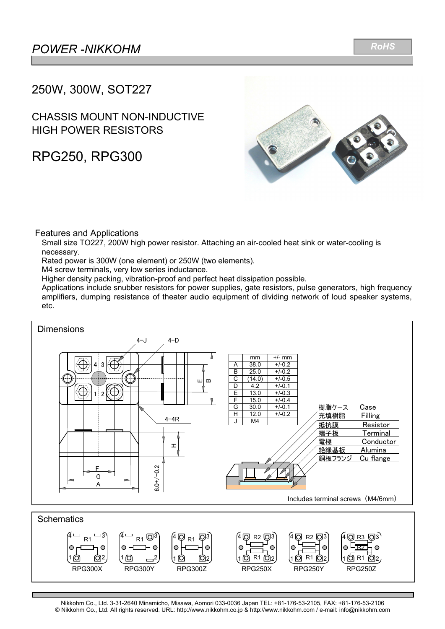*RoHS*

## 250W, 300W, SOT227

### CHASSIS MOUNT NON-INDUCTIVE HIGH POWER RESISTORS

# RPG250, RPG300



### Features and Applications

Small size TO227, 200W high power resistor. Attaching an air-cooled heat sink or water-cooling is necessary.

Rated power is 300W (one element) or 250W (two elements).

M4 screw terminals, very low series inductance.

Higher density packing, vibration-proof and perfect heat dissipation possible.

Applications include snubber resistors for power supplies, gate resistors, pulse generators, high frequency amplifiers, dumping resistance of theater audio equipment of dividing network of loud speaker systems, etc.



Nikkohm Co., Ltd. 3-31-2640 Minamicho, Misawa, Aomori 033-0036 Japan TEL: +81-176-53-2105, FAX: +81-176-53-2106 © Nikkohm Co., Ltd. All rights reserved. URL: http://www.nikkohm.co.jp & http://www.nikkohm.com / e-mail: info@nikkohm.com